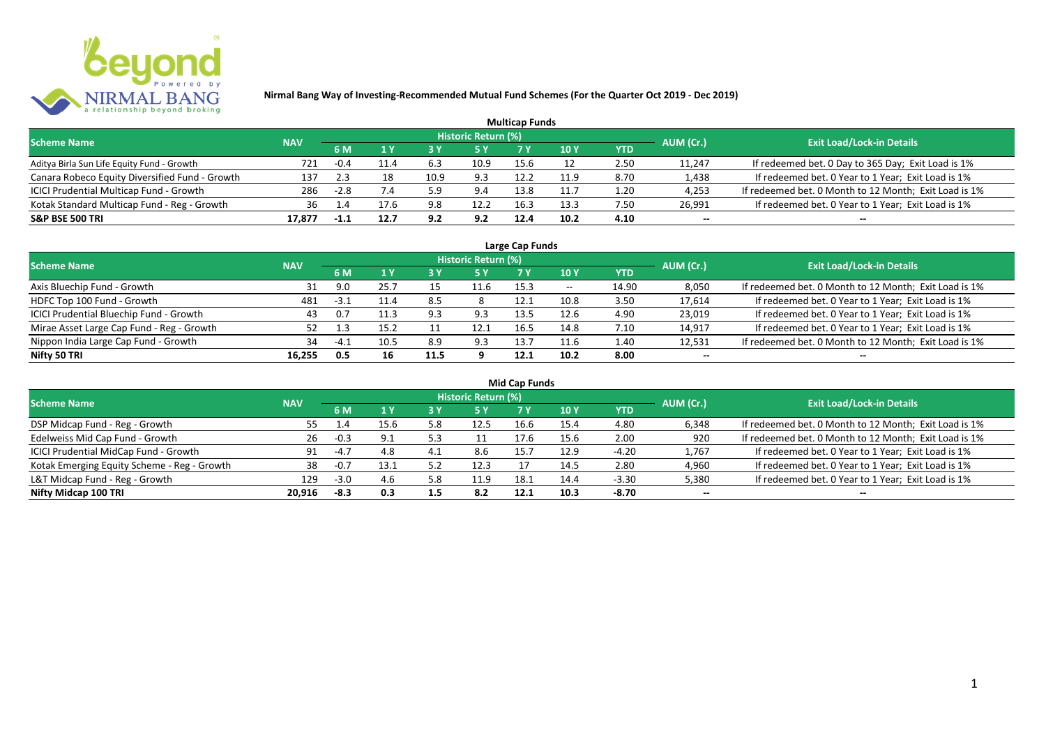

|                                                |            |        |      |      |                     | <b>Multicap Funds</b> |      |      |           |                                                       |
|------------------------------------------------|------------|--------|------|------|---------------------|-----------------------|------|------|-----------|-------------------------------------------------------|
| <b>Scheme Name</b>                             | <b>NAV</b> |        |      |      | Historic Return (%) |                       |      |      | AUM (Cr.) | <b>Exit Load/Lock-in Details</b>                      |
|                                                |            | 6 M    |      |      |                     |                       | 10 Y | YTD  |           |                                                       |
| Aditya Birla Sun Life Equity Fund - Growth     | 721        | -0.4   | ᆂᆂᅹ  | 6.3  | 10.9                | 15.6                  |      | 2.50 | 11,247    | If redeemed bet. 0 Day to 365 Day; Exit Load is 1%    |
| Canara Robeco Equity Diversified Fund - Growth | 137        | 2.3    |      | 10.9 | 9.3                 | 12.2                  | 11.9 | 8.70 | 1,438     | If redeemed bet. 0 Year to 1 Year; Exit Load is 1%    |
| ICICI Prudential Multicap Fund - Growth        | 286        | $-2.8$ |      | 5.9  | 9.4                 | 13.8                  | 11.1 | 1.20 | 4,253     | If redeemed bet. 0 Month to 12 Month; Exit Load is 1% |
| Kotak Standard Multicap Fund - Reg - Growth    | 36         | 1.4    |      | 9.8  | 12.2                | 16.3                  | 13.3 | 7.50 | 26,991    | If redeemed bet. 0 Year to 1 Year; Exit Load is 1%    |
| <b>S&amp;P BSE 500 TRI</b>                     | 17,877     |        | 12.7 | 9.2  | 9.2                 | 12.4                  | 10.2 | 4.10 | --        | $- -$                                                 |

| Large Cap Funds                           |            |           |      |      |                            |      |                          |       |           |                                                       |  |  |  |
|-------------------------------------------|------------|-----------|------|------|----------------------------|------|--------------------------|-------|-----------|-------------------------------------------------------|--|--|--|
| <b>Scheme Name</b>                        | <b>NAV</b> |           |      |      | <b>Historic Return (%)</b> |      |                          |       | AUM (Cr.) | <b>Exit Load/Lock-in Details</b>                      |  |  |  |
|                                           |            | <b>6M</b> |      |      | <b>5 Y</b>                 | 7 Y  | 10Y                      | YTD   |           |                                                       |  |  |  |
| Axis Bluechip Fund - Growth               |            | 9.0       | 25.7 |      | 11.6                       | 15.3 | $\overline{\phantom{a}}$ | 14.90 | 8,050     | If redeemed bet. 0 Month to 12 Month; Exit Load is 1% |  |  |  |
| HDFC Top 100 Fund - Growth                | 481        | $-3.1$    | 11.4 | 8.5  |                            | 12.1 | 10.8                     | 3.50  | 17,614    | If redeemed bet. 0 Year to 1 Year; Exit Load is 1%    |  |  |  |
| ICICI Prudential Bluechip Fund - Growth   | 43         | 0.7       | 11.3 | 9.3  | 9.3                        | 13.5 | 12.6                     | 4.90  | 23,019    | If redeemed bet. 0 Year to 1 Year; Exit Load is 1%    |  |  |  |
| Mirae Asset Large Cap Fund - Reg - Growth | 52         |           | 15.2 |      | 12.1                       | 16.5 | 14.8                     | 7.10  | 14,917    | If redeemed bet. 0 Year to 1 Year; Exit Load is 1%    |  |  |  |
| Nippon India Large Cap Fund - Growth      | 34         | $-41$     | 10.5 | 8.9  | 9.3                        | 13.7 | 11.6                     | 1.40  | 12,531    | If redeemed bet. 0 Month to 12 Month; Exit Load is 1% |  |  |  |
| Nifty 50 TRI                              | 16.255     | 0.5       | 16   | 11.5 |                            | 12.1 | 10.2                     | 8.00  | $- -$     | $- -$                                                 |  |  |  |

| <b>Mid Cap Funds</b>                        |            |        |      |     |                            |      |      |            |           |                                                       |  |  |  |
|---------------------------------------------|------------|--------|------|-----|----------------------------|------|------|------------|-----------|-------------------------------------------------------|--|--|--|
| <b>Scheme Name</b>                          | <b>NAV</b> |        |      |     | <b>Historic Return (%)</b> |      |      |            | AUM (Cr.) | <b>Exit Load/Lock-in Details</b>                      |  |  |  |
|                                             |            | 6 M    | 1 Y  |     | <b>5 Y</b>                 |      | 10 Y | <b>YTD</b> |           |                                                       |  |  |  |
| DSP Midcap Fund - Reg - Growth              | 55         | 1.4    | 15.6 | 5.8 | 12.5                       | 16.6 | 15.4 | 4.80       | 6,348     | If redeemed bet. 0 Month to 12 Month; Exit Load is 1% |  |  |  |
| Edelweiss Mid Cap Fund - Growth             | 26         | $-0.3$ | 9.1  | 5.3 |                            | 17.6 | 15.6 | 2.00       | 920       | If redeemed bet. 0 Month to 12 Month; Exit Load is 1% |  |  |  |
| ICICI Prudential MidCap Fund - Growth       | 91         | $-4.7$ | 4.8  | 4.1 | 8.6                        | 15.7 | 12.9 | $-4.20$    | 1,767     | If redeemed bet. 0 Year to 1 Year; Exit Load is 1%    |  |  |  |
| Kotak Emerging Equity Scheme - Reg - Growth | 38         | -0.7   | 13.1 | 5.3 | 12.3                       |      | 14.5 | 2.80       | 4,960     | If redeemed bet. 0 Year to 1 Year; Exit Load is 1%    |  |  |  |
| L&T Midcap Fund - Reg - Growth              | 129        | -3.0   | 4.6  | 5.8 | 11.9                       | 18.1 | 14.4 | $-3.30$    | 5,380     | If redeemed bet. 0 Year to 1 Year; Exit Load is 1%    |  |  |  |
| Nifty Midcap 100 TRI                        | 20.916     | -8.3   | 0.3  | 1.5 | 8.2                        | 12.1 | 10.3 | -8.70      | $- -$     | $- -$                                                 |  |  |  |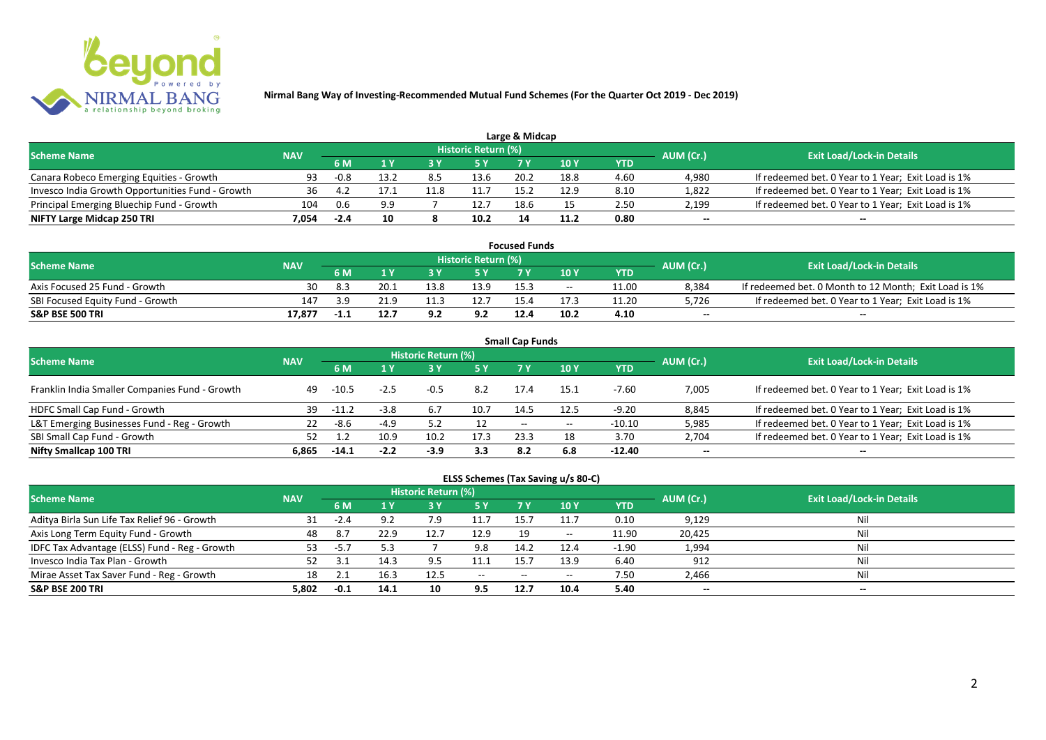

|                                                  |            |        |      |     |                            | Large & Midcap |      |      |           |                                                    |
|--------------------------------------------------|------------|--------|------|-----|----------------------------|----------------|------|------|-----------|----------------------------------------------------|
| <b>Scheme Name</b>                               | <b>NAV</b> |        |      |     | <b>Historic Return (%)</b> |                |      |      | AUM (Cr.) | <b>Exit Load/Lock-in Details</b>                   |
|                                                  |            | 6 M    |      |     | 5 Y                        |                |      | YTD  |           |                                                    |
| Canara Robeco Emerging Equities - Growth         | 93         | $-0.8$ | 13.2 | 8.5 | 13.6                       | 20.2           | 18.8 | 4.60 | 4.980     | If redeemed bet. 0 Year to 1 Year; Exit Load is 1% |
| Invesco India Growth Opportunities Fund - Growth |            |        |      |     |                            | 15.            | 12.9 | 8.10 | 1,822     | If redeemed bet. 0 Year to 1 Year; Exit Load is 1% |
| Principal Emerging Bluechip Fund - Growth        | 104        | 0.6    | 9.9  |     | 12.7                       | 18.6           |      | 2.50 | 2,199     | If redeemed bet. 0 Year to 1 Year; Exit Load is 1% |
| NIFTY Large Midcap 250 TRI                       | 7.054      | $-2.4$ | 10   |     | 10.2                       | 14             |      | 0.80 | $- -$     | $- -$                                              |

| <b>Focused Funds</b>             |            |            |      |      |                            |      |       |       |           |                                                       |  |  |
|----------------------------------|------------|------------|------|------|----------------------------|------|-------|-------|-----------|-------------------------------------------------------|--|--|
| <b>Scheme Name</b>               |            |            |      |      | <b>Historic Return (%)</b> |      |       |       | AUM (Cr.) | <b>Exit Load/Lock-in Details</b>                      |  |  |
|                                  | <b>NAV</b> |            |      |      |                            |      | 10 Y  | YTD   |           |                                                       |  |  |
| Axis Focused 25 Fund - Growth    | 30         |            | 20.1 | 13.8 | 13.9                       | 15.3 | $- -$ | 11.00 | 8,384     | If redeemed bet. 0 Month to 12 Month; Exit Load is 1% |  |  |
| SBI Focused Equity Fund - Growth | 147        | <b>3</b> d | 21.9 |      | 12.7                       |      |       | 11.20 | 5,726     | If redeemed bet. 0 Year to 1 Year; Exit Load is 1%    |  |  |
| <b>S&amp;P BSE 500 TRI</b>       | 17,877     | -1.1       | 12.7 | 9.2  | 9.2                        | 12.4 | 10.2  | 4.10  | $-$       | $-$                                                   |  |  |

| <b>Small Cap Funds</b>                         |            |         |        |                     |      |                          |       |            |           |                                                    |  |  |  |
|------------------------------------------------|------------|---------|--------|---------------------|------|--------------------------|-------|------------|-----------|----------------------------------------------------|--|--|--|
| <b>Scheme Name</b>                             | <b>NAV</b> |         |        | Historic Return (%) |      |                          |       |            | AUM (Cr.) | <b>Exit Load/Lock-in Details</b>                   |  |  |  |
|                                                |            |         |        |                     | 5 Y  | 7 Y                      | 710Y  | <b>YTD</b> |           |                                                    |  |  |  |
| Franklin India Smaller Companies Fund - Growth | 49         | $-10.5$ | $-2.5$ | $-0.5$              | 8.2  | 17.4                     | 15.1  | $-7.60$    | 7,005     | If redeemed bet. 0 Year to 1 Year; Exit Load is 1% |  |  |  |
| HDFC Small Cap Fund - Growth                   | 39         | $-11.2$ | $-3.8$ | 6.7                 | 10.7 | 14.5                     | 12.5  | $-9.20$    | 8,845     | If redeemed bet. 0 Year to 1 Year; Exit Load is 1% |  |  |  |
| L&T Emerging Businesses Fund - Reg - Growth    | 22         | -8.6    | $-4.9$ | 5.2                 | 12   | $\overline{\phantom{a}}$ | $- -$ | $-10.10$   | 5,985     | If redeemed bet. 0 Year to 1 Year; Exit Load is 1% |  |  |  |
| SBI Small Cap Fund - Growth                    |            |         | 10.9   | 10.2                | 17.3 | 23.3                     | 18    | 3.70       | 2,704     | If redeemed bet. 0 Year to 1 Year; Exit Load is 1% |  |  |  |
| Nifty Smallcap 100 TRI                         | 6.865      | $-14.1$ | $-2.2$ | $-3.9$              | 3.3  | 8.2                      | 6.8   | $-12.40$   | $- -$     | --                                                 |  |  |  |

## **ELSS Schemes (Tax Saving u/s 80-C)**

| <b>Scheme Name</b>                            | <b>NAV</b> |          |      | <b>Historic Return (%)</b> |               |                          |       |            | AUM (Cr.) | <b>Exit Load/Lock-in Details</b> |
|-----------------------------------------------|------------|----------|------|----------------------------|---------------|--------------------------|-------|------------|-----------|----------------------------------|
|                                               |            | 6 M      |      |                            | <b>5Y</b>     | 7 Y                      | 10Y   | <b>YTD</b> |           |                                  |
| Aditya Birla Sun Life Tax Relief 96 - Growth  | 31         | $-2.4$   |      |                            | 11.7          | 15.                      | 11.7  | 0.10       | 9,129     | Nil                              |
| Axis Long Term Equity Fund - Growth           | 48         | 8.7      | 22.9 | 12.                        | 12.9          | 19                       | $- -$ | 11.90      | 20,425    | Nil                              |
| IDFC Tax Advantage (ELSS) Fund - Reg - Growth | 53         | -5.7     |      |                            | 9.8           | 14.2                     | 12.4  | $-1.90$    | 1,994     | Nil                              |
| Invesco India Tax Plan - Growth               |            |          | 14.3 | 9.5                        | 11.1          | 15.                      | 13.9  | 6.40       | 912       | Nil                              |
| Mirae Asset Tax Saver Fund - Reg - Growth     | 18         | <u>.</u> | 16.3 | 12.5                       | $\sim$ $\sim$ | $\overline{\phantom{a}}$ | $- -$ | 7.50       | 2,466     | Nil                              |
| <b>S&amp;P BSE 200 TRI</b>                    | 5.802      | $-0.1$   | 14.1 | 10                         | 9.5           | 12.7                     | 10.4  | 5.40       | $- -$     | $-$                              |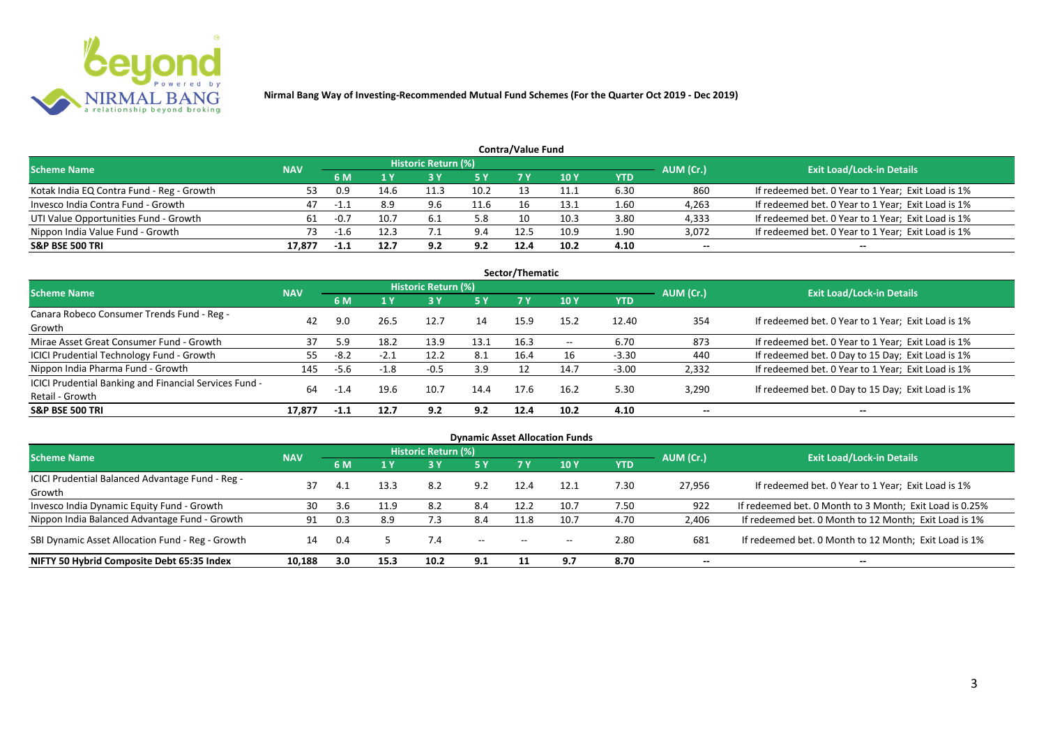

|                                           |            |        |      |                            |           | <b>Contra/Value Fund</b> |            |      |           |                                                    |
|-------------------------------------------|------------|--------|------|----------------------------|-----------|--------------------------|------------|------|-----------|----------------------------------------------------|
| <b>Scheme Name</b>                        | <b>NAV</b> |        |      | <b>Historic Return (%)</b> |           |                          |            |      | AUM (Cr.) | <b>Exit Load/Lock-in Details</b>                   |
|                                           |            | 6 M    |      |                            | <b>5Y</b> |                          | <b>10Y</b> | YTD  |           |                                                    |
| Kotak India EQ Contra Fund - Reg - Growth |            | 0.9    | 14.6 | 11.3                       | 10.2      |                          | 11.1       | 6.30 | 860       | If redeemed bet. 0 Year to 1 Year; Exit Load is 1% |
| Invesco India Contra Fund - Growth        | 47         | $-1$   | 8.9  | 9.6                        | 11.6      |                          | 13.1       | 1.60 | 4,263     | If redeemed bet. 0 Year to 1 Year; Exit Load is 1% |
| UTI Value Opportunities Fund - Growth     | 61         | $-0.7$ | 10.7 | -6.1                       | 5.8       |                          | 10.3       | 3.80 | 4,333     | If redeemed bet. 0 Year to 1 Year; Exit Load is 1% |
| Nippon India Value Fund - Growth          | 73         |        | 12.3 |                            | 9.4       | 12.5                     | 10.9       | 1.90 | 3,072     | If redeemed bet. 0 Year to 1 Year; Exit Load is 1% |
| <b>S&amp;P BSE 500 TRI</b>                | 17.877     |        | 12.7 | 92                         | 9.2       | 12.4                     | 10.2       | 4.10 | $- -$     | $-$                                                |

| Sector/Thematic                                        |            |        |        |                     |           |      |            |            |                          |                                                    |  |  |  |
|--------------------------------------------------------|------------|--------|--------|---------------------|-----------|------|------------|------------|--------------------------|----------------------------------------------------|--|--|--|
| Scheme Name                                            | <b>NAV</b> |        |        | Historic Return (%) |           |      |            |            | AUM (Cr.)                | <b>Exit Load/Lock-in Details</b>                   |  |  |  |
|                                                        |            | 6 M    | 1 Y    | <b>73 Y</b>         | <b>5Y</b> | 7Y   | <b>10Y</b> | <b>YTD</b> |                          |                                                    |  |  |  |
| Canara Robeco Consumer Trends Fund - Reg -             | 42         | 9.0    | 26.5   | 12.7                | 14        | 15.9 | 15.2       | 12.40      | 354                      | If redeemed bet. 0 Year to 1 Year; Exit Load is 1% |  |  |  |
| Growth                                                 |            |        |        |                     |           |      |            |            |                          |                                                    |  |  |  |
| Mirae Asset Great Consumer Fund - Growth               | 37         | 5.9    | 18.2   | 13.9                | 13.1      | 16.3 | $- -$      | 6.70       | 873                      | If redeemed bet. 0 Year to 1 Year; Exit Load is 1% |  |  |  |
| <b>ICICI Prudential Technology Fund - Growth</b>       | 55         | $-8.2$ | $-2.1$ | 12.2                | 8.1       | 16.4 | 16         | $-3.30$    | 440                      | If redeemed bet. 0 Day to 15 Day; Exit Load is 1%  |  |  |  |
| Nippon India Pharma Fund - Growth                      | 145        | $-5.6$ | $-1.8$ | $-0.5$              | 3.9       | 12   | 14.7       | $-3.00$    | 2,332                    | If redeemed bet. 0 Year to 1 Year; Exit Load is 1% |  |  |  |
| ICICI Prudential Banking and Financial Services Fund - |            |        |        |                     |           |      | 16.2       |            |                          |                                                    |  |  |  |
| Retail - Growth                                        | 64         | $-1.4$ | 19.6   | 10.7                | 14.4      | 17.6 |            | 5.30       | 3,290                    | If redeemed bet. 0 Day to 15 Day; Exit Load is 1%  |  |  |  |
| <b>S&amp;P BSE 500 TRI</b>                             | 17.877     | -1.1   | 12.7   | 9.2                 | 9.2       | 12.4 | 10.2       | 4.10       | $\overline{\phantom{a}}$ | $\overline{\phantom{a}}$                           |  |  |  |

|                                                  |            |     |      |                     |            |           | <b>Dynamic Asset Allocation Funds</b> |            |           |                                                         |
|--------------------------------------------------|------------|-----|------|---------------------|------------|-----------|---------------------------------------|------------|-----------|---------------------------------------------------------|
| <b>Scheme Name</b>                               | <b>NAV</b> |     |      | Historic Return (%) |            |           |                                       |            | AUM (Cr.) | Exit Load/Lock-in Details <sup>1</sup>                  |
|                                                  |            | 6 M | 1 Y  | 73 Y                | <b>5 Y</b> | <b>7Y</b> | <b>10 Y</b>                           | <b>YTD</b> |           |                                                         |
| ICICI Prudential Balanced Advantage Fund - Reg - | 37         |     | 13.3 | 8.2                 | 9.2        | 12.4      | 12.1                                  | 7.30       | 27,956    | If redeemed bet. 0 Year to 1 Year; Exit Load is 1%      |
| Growth                                           |            | -4. |      |                     |            |           |                                       |            |           |                                                         |
| Invesco India Dynamic Equity Fund - Growth       | 30         | 3.6 | 11.9 | 8.2                 | 8.4        | 12.2      | 10.7                                  | 7.50       | 922       | If redeemed bet. 0 Month to 3 Month; Exit Load is 0.25% |
| Nippon India Balanced Advantage Fund - Growth    | 91         |     | 8.9  |                     | 8.4        | 11.8      | 10.7                                  | 4.70       | 2,406     | If redeemed bet. 0 Month to 12 Month; Exit Load is 1%   |
| SBI Dynamic Asset Allocation Fund - Reg - Growth | 14         | 0.4 |      | 7.4                 | $- -$      | $- -$     | $- -$                                 | 2.80       | 681       | If redeemed bet. 0 Month to 12 Month; Exit Load is 1%   |
| NIFTY 50 Hybrid Composite Debt 65:35 Index       | 10,188     | 3.0 | 15.3 | 10.2                | 9.1        |           | 9.7                                   | 8.70       | $- -$     | $- -$                                                   |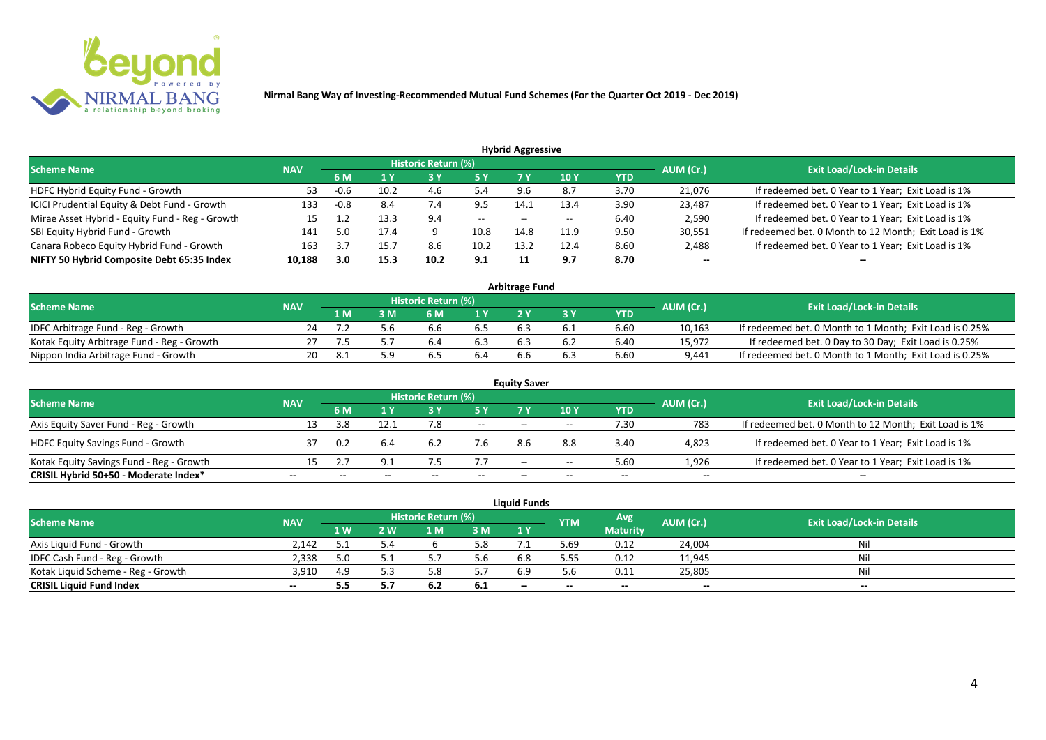

| <b>Hybrid Aggressive</b> |            |      |      |      |                            |       |            |        |                                                       |  |  |  |  |
|--------------------------|------------|------|------|------|----------------------------|-------|------------|--------|-------------------------------------------------------|--|--|--|--|
|                          |            |      |      |      |                            |       |            |        | <b>Exit Load/Lock-in Details</b>                      |  |  |  |  |
|                          | 6 M        |      |      | 5 Y  | 7 Y                        | 10Y   | <b>YTD</b> |        |                                                       |  |  |  |  |
| 53                       | -0.u       | 10.2 | 4.6  | 5.4  |                            | 8.7   | 3.70       | 21,076 | If redeemed bet. 0 Year to 1 Year; Exit Load is 1%    |  |  |  |  |
| 133                      | $-0.8$     | 8.4  | 7.4  | 9.5  | 14.1                       | 13.4  | 3.90       | 23,487 | If redeemed bet. 0 Year to 1 Year; Exit Load is 1%    |  |  |  |  |
| 15                       | <b></b>    | 13.3 | 9.4  | $--$ | $- -$                      | $- -$ | 6.40       | 2,590  | If redeemed bet. 0 Year to 1 Year; Exit Load is 1%    |  |  |  |  |
| 141                      | 5.0        | 17.4 |      | 10.8 | 14.8                       | 11.9  | 9.50       | 30,551 | If redeemed bet. 0 Month to 12 Month; Exit Load is 1% |  |  |  |  |
| 163                      |            | 15.7 | 8.6  | 10.2 | 13.2                       | 12.4  | 8.60       | 2,488  | If redeemed bet. 0 Year to 1 Year; Exit Load is 1%    |  |  |  |  |
| 10,188                   | 3.0        | 15.3 | 10.2 | 9.1  |                            | 9.7   | 8.70       | $- -$  | --                                                    |  |  |  |  |
|                          | <b>NAV</b> |      |      |      | <b>Historic Return (%)</b> |       |            |        | AUM (Cr.)                                             |  |  |  |  |

| <b>Arbitrage Fund</b>                      |            |     |  |                     |     |  |     |      |           |                                                         |  |  |  |
|--------------------------------------------|------------|-----|--|---------------------|-----|--|-----|------|-----------|---------------------------------------------------------|--|--|--|
| <b>Scheme Name</b>                         | <b>NAV</b> |     |  | Historic Return (%) |     |  |     |      | AUM (Cr.) | <b>Exit Load/Lock-in Details</b>                        |  |  |  |
|                                            |            | 1 M |  | 6 M                 | 1 Y |  |     | YTD  |           |                                                         |  |  |  |
| IDFC Arbitrage Fund - Reg - Growth         |            |     |  | b.b                 | 6.S |  | 0.1 | 6.60 | 10,163    | If redeemed bet. 0 Month to 1 Month; Exit Load is 0.25% |  |  |  |
| Kotak Equity Arbitrage Fund - Reg - Growth |            |     |  | b.4                 |     |  |     | 6.40 | 15,972    | If redeemed bet. 0 Day to 30 Day; Exit Load is 0.25%    |  |  |  |
| Nippon India Arbitrage Fund - Growth       |            |     |  | 6.5                 | 6.4 |  |     | 6.60 | 9,441     | If redeemed bet. 0 Month to 1 Month; Exit Load is 0.25% |  |  |  |

|                                          |            |     |      |                            |        | <b>Equity Saver</b> |       |            |           |                                                       |  |
|------------------------------------------|------------|-----|------|----------------------------|--------|---------------------|-------|------------|-----------|-------------------------------------------------------|--|
| <b>Scheme Name</b>                       | <b>NAV</b> |     |      | <b>Historic Return (%)</b> |        |                     |       |            |           | <b>Exit Load/Lock-in Details</b>                      |  |
|                                          |            | 6 M |      |                            | 5 Y    | 7V                  | 10Y   | <b>YTD</b> | AUM (Cr.) |                                                       |  |
| Axis Equity Saver Fund - Reg - Growth    | 13         | 3.8 | 12.1 |                            | $  \,$ | $- -$               | $- -$ | 7.30       | 783       | If redeemed bet. 0 Month to 12 Month; Exit Load is 1% |  |
| <b>HDFC Equity Savings Fund - Growth</b> |            | 0.2 | 6.4  | 6.2                        | 7.b    | 8.6                 | 8.8   | 3.40       | 4,823     | If redeemed bet. 0 Year to 1 Year; Exit Load is 1%    |  |
| Kotak Equity Savings Fund - Reg - Growth | 15         |     |      |                            | 7.7    | $- -$               | $- -$ | 5.60       | 1.926     | If redeemed bet. 0 Year to 1 Year; Exit Load is 1%    |  |
| CRISIL Hybrid 50+50 - Moderate Index*    | $- -$      |     |      |                            |        | --                  | $- -$ | $- -$      | $- -$     | $- -$                                                 |  |

|                                    |            |     |     |                     |      | <b>Liquid Funds</b>      |            |                 |           |                                  |
|------------------------------------|------------|-----|-----|---------------------|------|--------------------------|------------|-----------------|-----------|----------------------------------|
| <b>Scheme Name</b>                 | <b>NAV</b> |     |     | Historic Return (%) |      |                          | <b>YTM</b> | Avg             | AUM (Cr.) | <b>Exit Load/Lock-in Details</b> |
|                                    |            | 1W  | ! W | 1 M                 | 3M   | 1Y                       |            | <b>Maturity</b> |           |                                  |
| Axis Liquid Fund - Growth          | 2.142      |     | 5.4 |                     | 5.8  |                          | 5.69       | 0.12            | 24,004    | Nil                              |
| IDFC Cash Fund - Reg - Growth      | 2,338      | 5.0 |     |                     | 5.6  | 6.8                      | 5.55       | 0.12            | 11,945    | <b>Nil</b>                       |
| Kotak Liquid Scheme - Reg - Growth | 3,910      | 4.9 |     |                     |      | 6.9                      |            | 0.11            | 25,805    | Nil                              |
| <b>CRISIL Liquid Fund Index</b>    | $- -$      | 5.5 |     | 0.Z                 | -6.1 | $\overline{\phantom{a}}$ | $- -$      | $- -$           | $- -$     | $- -$                            |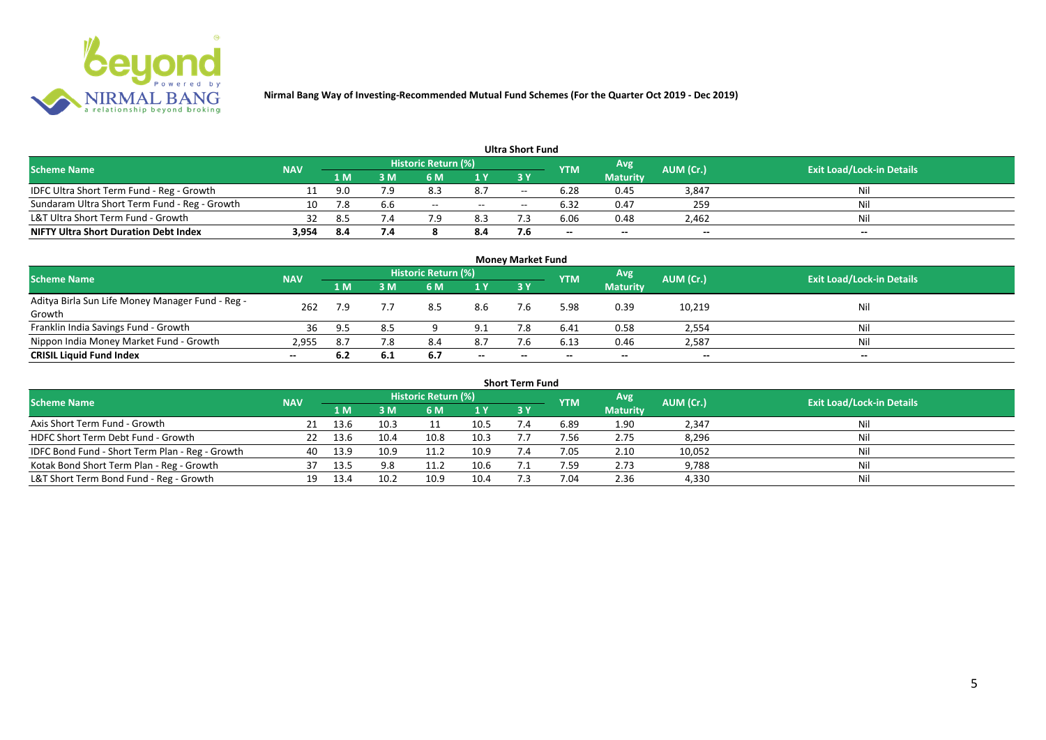

|                                               |            |      |     |                     |       | <b>Ultra Short Fund</b>  |                          |                 |                          |                                  |
|-----------------------------------------------|------------|------|-----|---------------------|-------|--------------------------|--------------------------|-----------------|--------------------------|----------------------------------|
| <b>Scheme Name</b>                            | <b>NAV</b> |      |     | Historic Return (%) |       |                          | <b>YTM</b>               | Avg             | AUM (Cr.)                | <b>Exit Load/Lock-in Details</b> |
|                                               |            | 1 M  | sм  | 6 M                 | 1 Y   | 73 Y                     |                          | <b>Maturity</b> |                          |                                  |
| IDFC Ultra Short Term Fund - Reg - Growth     |            | 9.0  | 7.9 | 8.5                 | 8.7   | $\overline{\phantom{a}}$ | 6.28                     | 0.45            | 3,847                    | Nil                              |
| Sundaram Ultra Short Term Fund - Reg - Growth | 10         | 7.8  | b.b | $- -$               | $- -$ | $- -$                    | 6.32                     | 0.47            | 259                      | Nil                              |
| L&T Ultra Short Term Fund - Growth            | 32         | 8.5  | 1.4 |                     | 8.3   |                          | 6.06                     | 0.48            | 2,462                    | Nil                              |
| <b>NIFTY Ultra Short Duration Debt Index</b>  | 3,954      | -8.4 | 7.4 |                     | 8.4   |                          | $\overline{\phantom{a}}$ | $-$             | $\overline{\phantom{a}}$ | $-$                              |

|                                                  |            |                                                 |     |           |                                  | <b>Money Market Fund</b> |       |                 |        |       |
|--------------------------------------------------|------------|-------------------------------------------------|-----|-----------|----------------------------------|--------------------------|-------|-----------------|--------|-------|
| <b>Scheme Name</b>                               | <b>NAV</b> | <b>Historic Return (%)</b><br>Avg<br><b>YTM</b> |     | AUM (Cr.) | <b>Exit Load/Lock-in Details</b> |                          |       |                 |        |       |
|                                                  |            | 1 M                                             | 3 M | 6 M       | 1 Y                              | <b>3Y</b>                |       | <b>Maturity</b> |        |       |
| Aditya Birla Sun Life Money Manager Fund - Reg - | 262        | 7.9                                             |     | 8.5       | 8.6                              | 7.6                      | 5.98  | 0.39            | 10,219 | Nil   |
| Growth                                           |            |                                                 |     |           |                                  |                          |       |                 |        |       |
| Franklin India Savings Fund - Growth             | 36         | 9.5                                             |     |           | 9.1                              |                          | 6.41  | 0.58            | 2,554  | Nil   |
| Nippon India Money Market Fund - Growth          | 2,955      | 8.7                                             | 7.8 | 8.4       | 8.7                              | 7.6                      | 6.13  | 0.46            | 2,587  | Nil   |
| <b>CRISIL Liquid Fund Index</b>                  | $- -$      | 6.2                                             | 6.1 | 6.7       | $- -$                            | $- -$                    | $- -$ | $- -$           | $-$    | $- -$ |

| <b>Short Term Fund</b>                          |            |      |      |                     |      |            |            |                 |           |                                  |  |  |  |
|-------------------------------------------------|------------|------|------|---------------------|------|------------|------------|-----------------|-----------|----------------------------------|--|--|--|
| <b>Scheme Name</b>                              | <b>NAV</b> |      |      | Historic Return (%) |      |            | <b>YTM</b> | Avg             | AUM (Cr.) | <b>Exit Load/Lock-in Details</b> |  |  |  |
|                                                 |            | 1 M  | 3 M  | 6 M                 | 1Y   | <b>3 Y</b> |            | <b>Maturity</b> |           |                                  |  |  |  |
| Axis Short Term Fund - Growth                   |            | 13.6 | 10.3 |                     | 10.5 |            | 6.89       | 1.90            | 2,347     | Nil                              |  |  |  |
| HDFC Short Term Debt Fund - Growth              |            | 13.6 | 10.4 | 10.8                | 10.3 |            | 7.56       | 2.75            | 8,296     | Nil                              |  |  |  |
| IDFC Bond Fund - Short Term Plan - Reg - Growth | 40         | 13.9 | 10.9 | 11.2                | 10.9 | 7.4        | 7.05       | 2.10            | 10,052    | Nil                              |  |  |  |
| Kotak Bond Short Term Plan - Reg - Growth       | 37         | 13.5 | 9.8  | 11.2                | 10.6 |            | 7.59       | 2.73            | 9,788     | Nil                              |  |  |  |
| L&T Short Term Bond Fund - Reg - Growth         |            | 13.4 | 10.2 | 10.9                | 10.4 |            | 7.04       | 2.36            | 4,330     | Nil                              |  |  |  |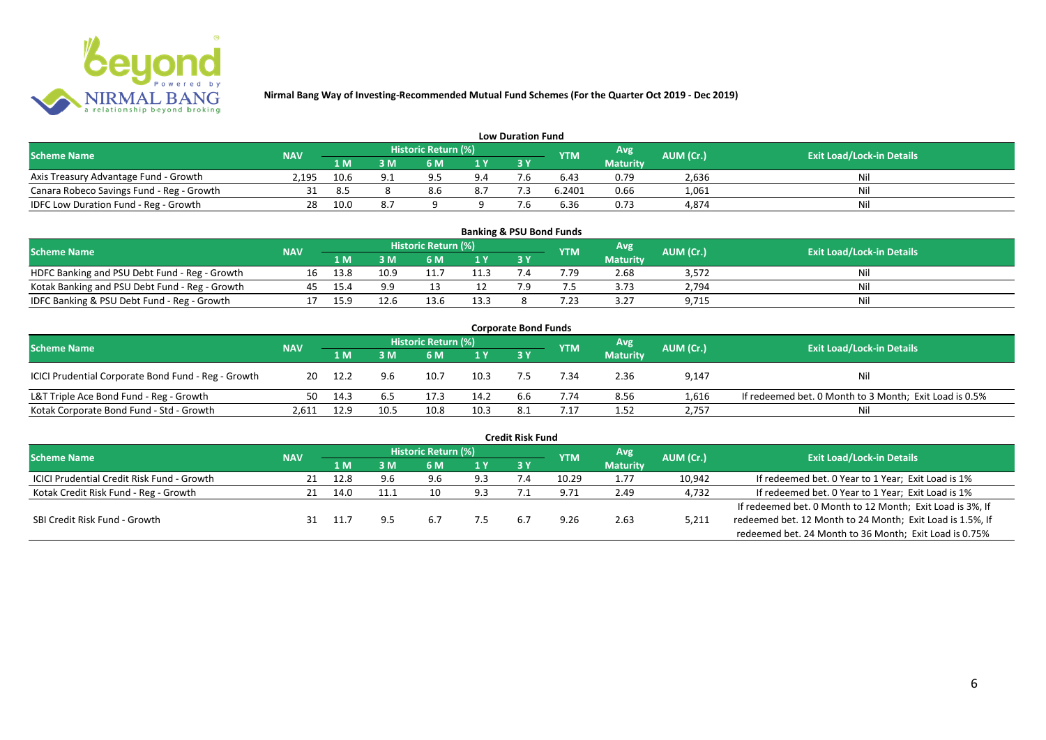

|                                           |       |                                                                             |     |                                  |     | <b>Low Duration Fund</b> |        |                 |       |     |
|-------------------------------------------|-------|-----------------------------------------------------------------------------|-----|----------------------------------|-----|--------------------------|--------|-----------------|-------|-----|
| <b>Scheme Name</b>                        |       | Historic Return (%)<br>Avg'<br><b>AUM (Cr.)</b><br><b>NAV</b><br><b>YTM</b> |     | <b>Exit Load/Lock-in Details</b> |     |                          |        |                 |       |     |
|                                           |       | 1 M                                                                         | 3 M | 6 M                              | 1 Y | 3 Y                      |        | <b>Maturity</b> |       |     |
| Axis Treasury Advantage Fund - Growth     | 2.195 | 10.6                                                                        |     | Q <sub>h</sub>                   | 9.4 |                          | 6.43   | 0.79            | 2,636 | Nil |
| Canara Robeco Savings Fund - Reg - Growth |       | 8.5                                                                         |     |                                  | 8.7 |                          | 6.2401 | 0.66            | 1,061 | Nil |
| IDFC Low Duration Fund - Reg - Growth     |       | 10.0                                                                        |     |                                  |     |                          | 6.36   | 0.73            | 4,874 | Nil |

| <b>Banking &amp; PSU Bond Funds</b>            |            |      |      |                            |      |  |            |                 |           |                                  |  |  |  |
|------------------------------------------------|------------|------|------|----------------------------|------|--|------------|-----------------|-----------|----------------------------------|--|--|--|
| <b>Scheme Name</b>                             | <b>NAV</b> |      |      | <b>Historic Return (%)</b> |      |  | <b>YTM</b> | Avg             | AUM (Cr.) | <b>Exit Load/Lock-in Details</b> |  |  |  |
|                                                |            | 1 M  | ١M   | 6 M                        |      |  |            | <b>Maturity</b> |           |                                  |  |  |  |
| HDFC Banking and PSU Debt Fund - Reg - Growth  |            | 13.8 | 10.9 |                            |      |  | 7.79       | 2.68            | 3,572     | Nil                              |  |  |  |
| Kotak Banking and PSU Debt Fund - Reg - Growth |            | 15.4 | a a  |                            |      |  |            | 3.73            | 2,794     | Nil                              |  |  |  |
| IDFC Banking & PSU Debt Fund - Reg - Growth    |            |      |      |                            | 13.3 |  | 7.23       | 3.27            | 9,715     | Nil                              |  |  |  |

| <b>Corporate Bond Funds</b>                         |            |      |      |                     |      |     |            |                 |           |                                                        |  |  |  |  |
|-----------------------------------------------------|------------|------|------|---------------------|------|-----|------------|-----------------|-----------|--------------------------------------------------------|--|--|--|--|
| <b>Scheme Name</b>                                  | <b>NAV</b> |      |      | Historic Return (%) |      |     | <b>YTM</b> | Avg'            | AUM (Cr.) | <b>Exit Load/Lock-in Details</b>                       |  |  |  |  |
|                                                     |            | 1 M  | : M  | 6 M                 | 1 Y  | 3Y  |            | <b>Maturity</b> |           |                                                        |  |  |  |  |
| ICICI Prudential Corporate Bond Fund - Reg - Growth | 20         | 12.2 | 9.6  | 10.7                | 10.3 |     | .34        | 2.36            | 9,147     | Nil                                                    |  |  |  |  |
| L&T Triple Ace Bond Fund - Reg - Growth             | 50         | 14.3 |      | 17.3                | 14.2 | 6.6 | 7.74       | 8.56            | 1,616     | If redeemed bet. 0 Month to 3 Month; Exit Load is 0.5% |  |  |  |  |
| Kotak Corporate Bond Fund - Std - Growth            | 2.61.      | 12.9 | 10.5 | 10.8                | 10.3 |     | .17        | 1.52            | 2,757     | Nil                                                    |  |  |  |  |

|                                            |            |      |     |                            |      | <b>Credit Risk Fund</b> |            |                 |           |                                                           |
|--------------------------------------------|------------|------|-----|----------------------------|------|-------------------------|------------|-----------------|-----------|-----------------------------------------------------------|
| <b>Scheme Name</b>                         | <b>NAV</b> |      |     | <b>Historic Return (%)</b> |      |                         | <b>YTM</b> | Avg             | AUM (Cr.) | <b>Exit Load/Lock-in Details</b>                          |
|                                            |            | 1 M. | 3 M | 6 M                        | '1 Y | 3 Y                     |            | <b>Maturity</b> |           |                                                           |
| ICICI Prudential Credit Risk Fund - Growth |            | 12.8 |     | 9.6                        | 9.3  |                         | 10.29      | 1.77            | 10,942    | If redeemed bet. 0 Year to 1 Year; Exit Load is 1%        |
| Kotak Credit Risk Fund - Reg - Growth      |            | 14.0 |     | 10                         | 9.3  |                         | 9.71       | 2.49            | 4,732     | If redeemed bet. 0 Year to 1 Year; Exit Load is 1%        |
|                                            |            |      |     |                            |      |                         |            |                 |           | If redeemed bet. 0 Month to 12 Month; Exit Load is 3%, If |
| SBI Credit Risk Fund - Growth              |            | 11.7 |     | 6.7                        | כ.י  | 6 <sup>1</sup>          | 9.26       | 2.63            | 5,211     | redeemed bet. 12 Month to 24 Month; Exit Load is 1.5%, If |
|                                            |            |      |     |                            |      |                         |            |                 |           | redeemed bet. 24 Month to 36 Month; Exit Load is 0.75%    |